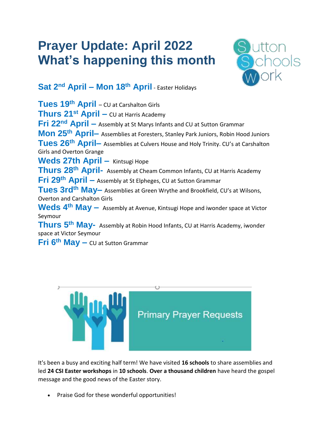## **Prayer Update: April 2022 What's happening this month**



**Sat 2 nd April – Mon 18th April** - Easter Holidays

**Tues 19th April** – CU at Carshalton Girls **Thurs 21st April –** CU at Harris Academy **Fri 22nd April –** Assembly at St Marys Infants and CU at Sutton Grammar **Mon 25th April–** Assemblies at Foresters, Stanley Park Juniors, Robin Hood Juniors **Tues 26th April–** Assemblies at Culvers House and Holy Trinity. CU's at Carshalton Girls and Overton Grange **Weds 27th April –** Kintsugi Hope **Thurs 28th April-** Assembly at Cheam Common Infants, CU at Harris Academy **Fri 29th April –** Assembly at St Elpheges, CU at Sutton Grammar **Tues 3rdth May–** Assemblies at Green Wrythe and Brookfield, CU's at Wilsons, Overton and Carshalton Girls **Weds 4th May –** Assembly at Avenue, Kintsugi Hope and iwonder space at Victor Seymour **Thurs 5th May-** Assembly at Robin Hood Infants, CU at Harris Academy, iwonder space at Victor Seymour **Fri 6th May –** CU at Sutton Grammar



It's been a busy and exciting half term! We have visited **16 schools** to share assemblies and led **24 CSI Easter workshops** in **10 schools**. **Over a thousand children** have heard the gospel message and the good news of the Easter story.

Praise God for these wonderful opportunities!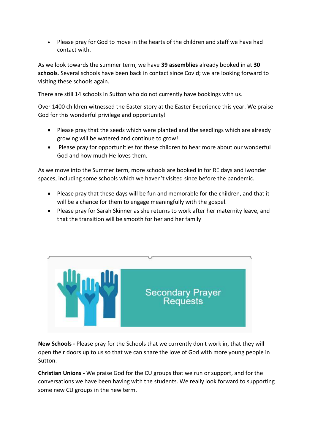Please pray for God to move in the hearts of the children and staff we have had contact with.

As we look towards the summer term, we have **39 assemblies** already booked in at **30 schools**. Several schools have been back in contact since Covid; we are looking forward to visiting these schools again.

There are still 14 schools in Sutton who do not currently have bookings with us.

Over 1400 children witnessed the Easter story at the Easter Experience this year. We praise God for this wonderful privilege and opportunity!

- Please pray that the seeds which were planted and the seedlings which are already growing will be watered and continue to grow!
- Please pray for opportunities for these children to hear more about our wonderful God and how much He loves them.

As we move into the Summer term, more schools are booked in for RE days and iwonder spaces, including some schools which we haven't visited since before the pandemic.

- Please pray that these days will be fun and memorable for the children, and that it will be a chance for them to engage meaningfully with the gospel.
- Please pray for Sarah Skinner as she returns to work after her maternity leave, and that the transition will be smooth for her and her family



**New Schools -** Please pray for the Schools that we currently don't work in, that they will open their doors up to us so that we can share the love of God with more young people in Sutton.

**Christian Unions -** We praise God for the CU groups that we run or support, and for the conversations we have been having with the students. We really look forward to supporting some new CU groups in the new term.